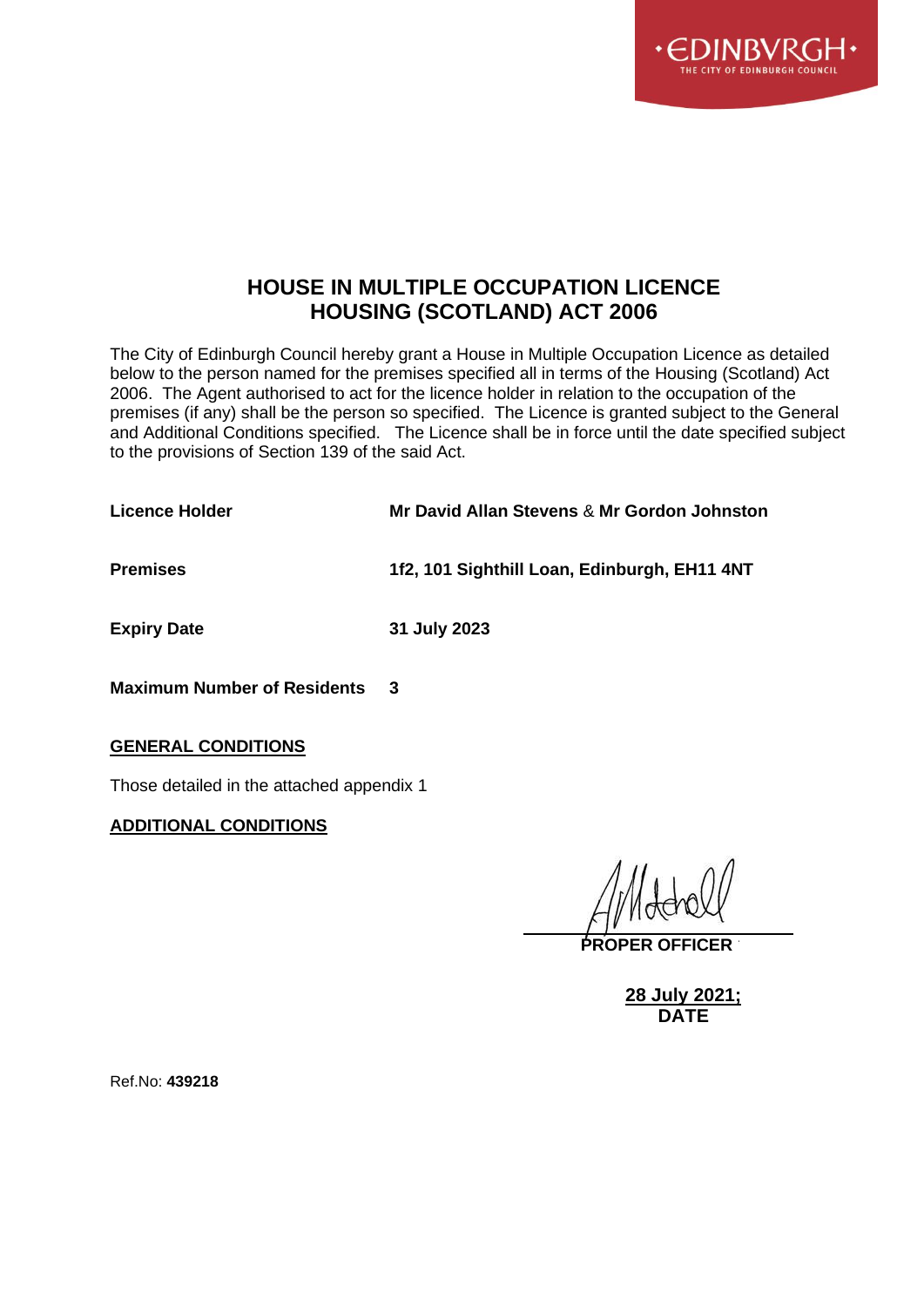

# **HOUSE IN MULTIPLE OCCUPATION LICENCE HOUSING (SCOTLAND) ACT 2006**

The City of Edinburgh Council hereby grant a House in Multiple Occupation Licence as detailed below to the person named for the premises specified all in terms of the Housing (Scotland) Act 2006. The Agent authorised to act for the licence holder in relation to the occupation of the premises (if any) shall be the person so specified. The Licence is granted subject to the General and Additional Conditions specified. The Licence shall be in force until the date specified subject to the provisions of Section 139 of the said Act.

| Mr David Allan Stevens & Mr Gordon Johnston  |
|----------------------------------------------|
| 1f2, 101 Sighthill Loan, Edinburgh, EH11 4NT |
| 31 July 2023                                 |
|                                              |

**Maximum Number of Residents 3**

#### **GENERAL CONDITIONS**

Those detailed in the attached appendix 1

### **ADDITIONAL CONDITIONS**

**PROPER OFFICER**

**28 July 2021; DATE**

Ref.No: **439218**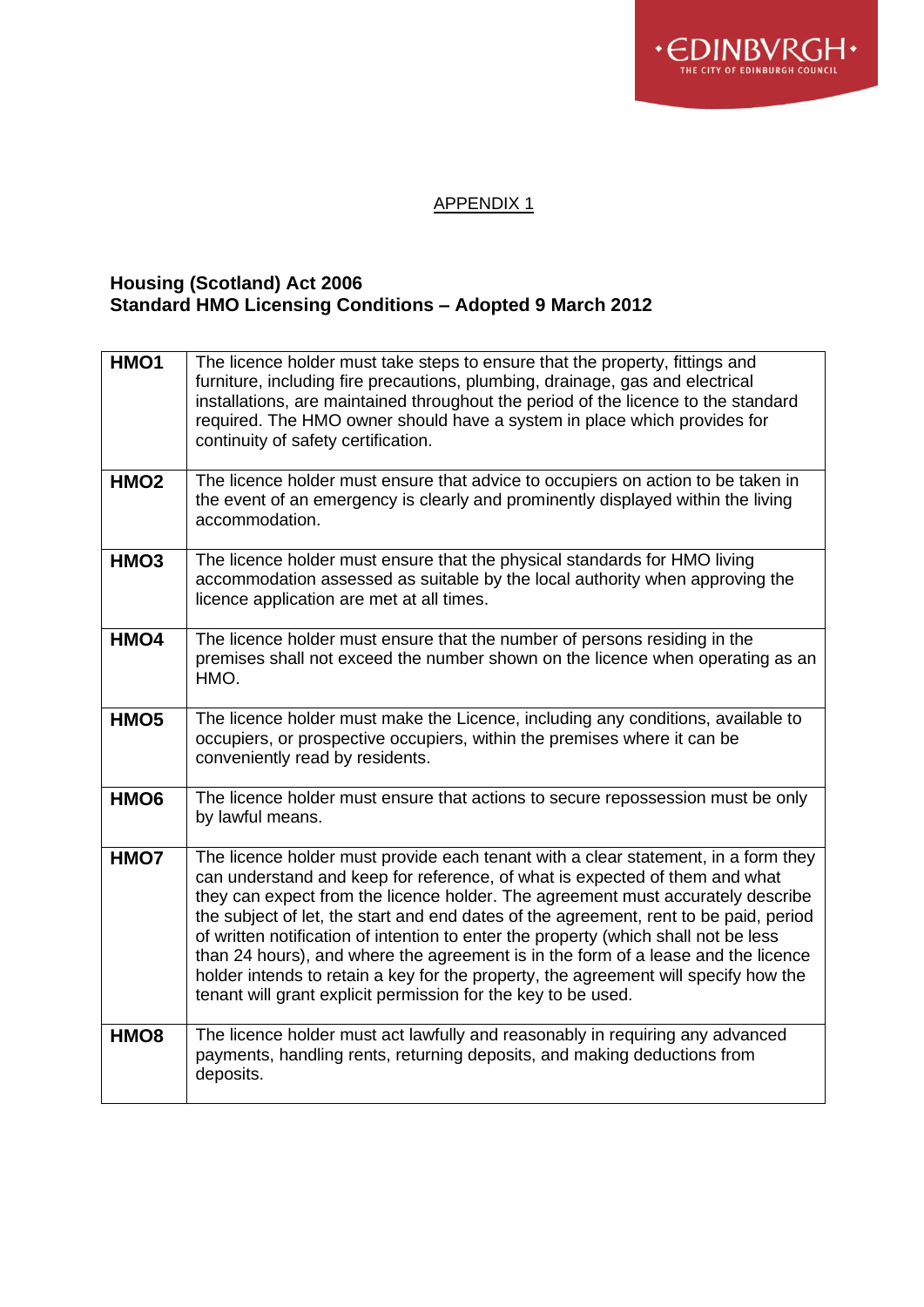

# APPENDIX 1

### **Housing (Scotland) Act 2006 Standard HMO Licensing Conditions – Adopted 9 March 2012**

| HMO1             | The licence holder must take steps to ensure that the property, fittings and<br>furniture, including fire precautions, plumbing, drainage, gas and electrical<br>installations, are maintained throughout the period of the licence to the standard<br>required. The HMO owner should have a system in place which provides for<br>continuity of safety certification.                                                                                                                                                                                                                                                                                                            |
|------------------|-----------------------------------------------------------------------------------------------------------------------------------------------------------------------------------------------------------------------------------------------------------------------------------------------------------------------------------------------------------------------------------------------------------------------------------------------------------------------------------------------------------------------------------------------------------------------------------------------------------------------------------------------------------------------------------|
| HMO <sub>2</sub> | The licence holder must ensure that advice to occupiers on action to be taken in<br>the event of an emergency is clearly and prominently displayed within the living<br>accommodation.                                                                                                                                                                                                                                                                                                                                                                                                                                                                                            |
| HMO <sub>3</sub> | The licence holder must ensure that the physical standards for HMO living<br>accommodation assessed as suitable by the local authority when approving the<br>licence application are met at all times.                                                                                                                                                                                                                                                                                                                                                                                                                                                                            |
| HMO4             | The licence holder must ensure that the number of persons residing in the<br>premises shall not exceed the number shown on the licence when operating as an<br>HMO.                                                                                                                                                                                                                                                                                                                                                                                                                                                                                                               |
| HMO <sub>5</sub> | The licence holder must make the Licence, including any conditions, available to<br>occupiers, or prospective occupiers, within the premises where it can be<br>conveniently read by residents.                                                                                                                                                                                                                                                                                                                                                                                                                                                                                   |
| HMO <sub>6</sub> | The licence holder must ensure that actions to secure repossession must be only<br>by lawful means.                                                                                                                                                                                                                                                                                                                                                                                                                                                                                                                                                                               |
| HMO7             | The licence holder must provide each tenant with a clear statement, in a form they<br>can understand and keep for reference, of what is expected of them and what<br>they can expect from the licence holder. The agreement must accurately describe<br>the subject of let, the start and end dates of the agreement, rent to be paid, period<br>of written notification of intention to enter the property (which shall not be less<br>than 24 hours), and where the agreement is in the form of a lease and the licence<br>holder intends to retain a key for the property, the agreement will specify how the<br>tenant will grant explicit permission for the key to be used. |
| HMO <sub>8</sub> | The licence holder must act lawfully and reasonably in requiring any advanced<br>payments, handling rents, returning deposits, and making deductions from<br>deposits.                                                                                                                                                                                                                                                                                                                                                                                                                                                                                                            |